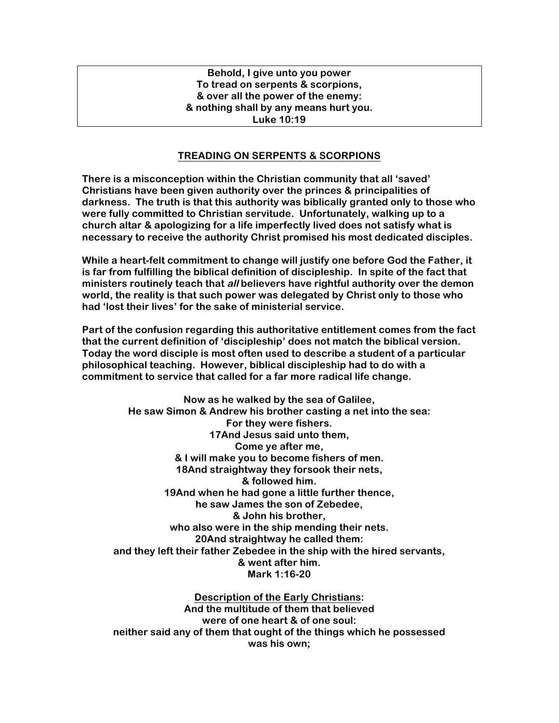## **Behold, I give unto you power To tread on serpents & scorpions, & over all the power of the enemy: & nothing shall by any means hurt you. Luke 10:19**

## **TREADING ON SERPENTS & SCORPIONS**

**There is a misconception within the Christian community that all 'saved' Christians have been given authority over the princes & principalities of darkness. The truth is that this authority was biblically granted only to those who were fully committed to Christian servitude. Unfortunately, walking up to a church altar & apologizing for a life imperfectly lived does not satisfy what is necessary to receive the authority Christ promised his most dedicated disciples.** 

**While a heart-felt commitment to change will justify one before God the Father, it is far from fulfilling the biblical definition of discipleship. In spite of the fact that ministers routinely teach that all believers have rightful authority over the demon world, the reality is that such power was delegated by Christ only to those who had 'lost their lives' for the sake of ministerial service.** 

**Part of the confusion regarding this authoritative entitlement comes from the fact that the current definition of 'discipleship' does not match the biblical version. Today the word disciple is most often used to describe a student of a particular philosophical teaching. However, biblical discipleship had to do with a commitment to service that called for a far more radical life change.**

**Now as he walked by the sea of Galilee, He saw Simon & Andrew his brother casting a net into the sea: For they were fishers. 17And Jesus said unto them, Come ye after me, & I will make you to become fishers of men. 18And straightway they forsook their nets, & followed him. 19And when he had gone a little further thence, he saw James the son of Zebedee, & John his brother, who also were in the ship mending their nets. 20And straightway he called them: and they left their father Zebedee in the ship with the hired servants, & went after him. Mark 1:16-20**

**Description of the Early Christians: And the multitude of them that believed were of one heart & of one soul: neither said any of them that ought of the things which he possessed was his own;**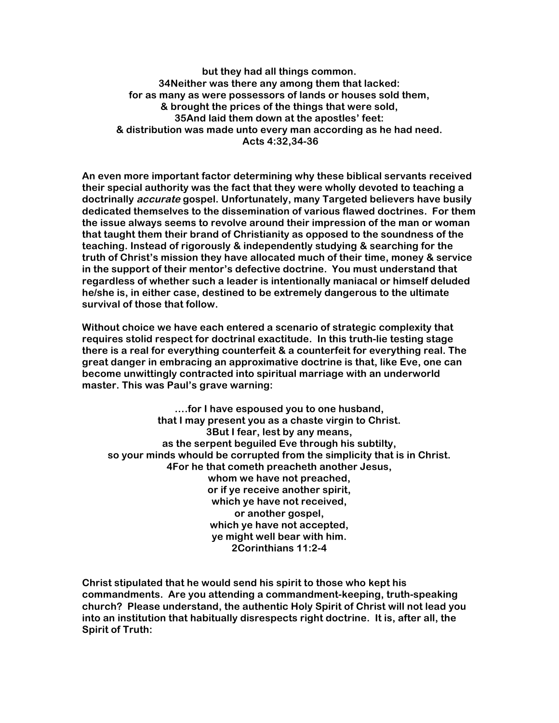**but they had all things common. 34Neither was there any among them that lacked: for as many as were possessors of lands or houses sold them, & brought the prices of the things that were sold, 35And laid them down at the apostles' feet: & distribution was made unto every man according as he had need. Acts 4:32,34-36**

**An even more important factor determining why these biblical servants received their special authority was the fact that they were wholly devoted to teaching a doctrinally accurate gospel. Unfortunately, many Targeted believers have busily dedicated themselves to the dissemination of various flawed doctrines. For them the issue always seems to revolve around their impression of the man or woman that taught them their brand of Christianity as opposed to the soundness of the teaching. Instead of rigorously & independently studying & searching for the truth of Christ's mission they have allocated much of their time, money & service in the support of their mentor's defective doctrine. You must understand that regardless of whether such a leader is intentionally maniacal or himself deluded he/she is, in either case, destined to be extremely dangerous to the ultimate survival of those that follow.** 

**Without choice we have each entered a scenario of strategic complexity that requires stolid respect for doctrinal exactitude. In this truth-lie testing stage there is a real for everything counterfeit & a counterfeit for everything real. The great danger in embracing an approximative doctrine is that, like Eve, one can become unwittingly contracted into spiritual marriage with an underworld master. This was Paul's grave warning:**

**….for I have espoused you to one husband, that I may present you as a chaste virgin to Christ. 3But I fear, lest by any means, as the serpent beguiled Eve through his subtilty, so your minds whould be corrupted from the simplicity that is in Christ. 4For he that cometh preacheth another Jesus, whom we have not preached, or if ye receive another spirit, which ye have not received, or another gospel, which ye have not accepted, ye might well bear with him. 2Corinthians 11:2-4**

**Christ stipulated that he would send his spirit to those who kept his commandments. Are you attending a commandment-keeping, truth-speaking church? Please understand, the authentic Holy Spirit of Christ will not lead you into an institution that habitually disrespects right doctrine. It is, after all, the Spirit of Truth:**